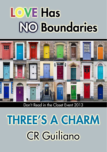# **LOVE Has NO Boundaries**



Don't Read in the Closet Event 2013

# **THREE'S A CHARM CR Guiliano**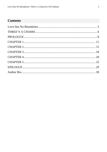# **Contents**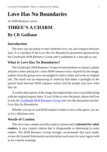# <span id="page-2-0"></span>**Love Has No Boundaries**

*An M/M Romance series*

# **THREE'S A CHARM By CR Guiliano**

## **Introduction**

The story you are about to read celebrates love, sex and romance between men. It is a product of the *Love Has No Boundaries* promotion sponsored by the *Goodreads M/M Romance Group* and is published as a free gift to you.

# **What Is Love Has No Boundaries?**

The *Goodreads M/M Romance Group* invited members to choose a photo and pen a letter asking for a short M/M romance story inspired by the image; authors from the group were encouraged to select a letter and write an original tale. The result was an outpouring of creativity that shone a spotlight on the special bond between M/M romance writers and the people who love what they do.

A written description of the image that inspired this story is provided along with the original request letter. If you'd like to view the photo, please feel free to join the [Goodreads M/M Romance Group](http://www.goodreads.com/group/show/20149-m-m-romance) and visit the discussion section: *Love Has No Boundaries*.

Whether you are an avid M/M romance reader or new to the genre, you are in for a delicious treat.

## **Words of Caution**

This story may contain sexually explicit content and is **intended for adult readers.** It may contain content that is disagreeable or distressing to some readers. The *M/M Romance Group* strongly recommends that each reader review the General Information section before each story for story tags as well as for content warnings.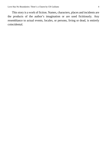This story is a work of fiction. Names, characters, places and incidents are the products of the author's imagination or are used fictitiously. Any resemblance to actual events, locales, or persons, living or dead, is entirely coincidental.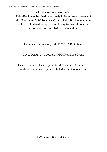All rights reserved worldwide. This eBook may be distributed freely in its entirety courtesy of the *Goodreads M/M Romance Group*. This eBook may not be sold, manipulated or reproduced in any format without the express written permission of the author.

#### Three's a Charm, Copyright © 2013 CR Guiliano

#### Cover Design by Goodreads M/M Romance Group

This ebook is published by the *M/M Romance Group* and is not directly endorsed by or affiliated with Goodreads Inc.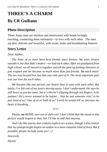# <span id="page-5-0"></span>**THREE'S A CHARM By CR Guiliano**

## **Photo Description**

Three Asian men are shirtless and intertwined with hands lovingly touching, connecting them intimately—in love with each other. The men are thin, delicate and beautiful, with exotic looks and breathtaking features.

### **Story Letter**

#### *Dear Author,*

*The three of us have been best friends since forever. We were always outsiders, but that didn't matter—we had each other. After we graduated from high school, we all moved in together and all the pent-up feelings between us just erupted and we became so much more than just friends. So much more! The sex was beyond hot, but that was only part of it. The most important part was our love for each other.*

*We became like one person, our hearts beat in tune with each other. But lately, I've felt one of my lovers moving away. I don't understand. He says he still loves us just the same, but it's like he's slipping through our fingers. Is he jealous? He's never seemed to be before… Has he met someone else? Is he just tired of us? One of us or both of us? I wish he would tell us, because my heart is breaking…*

*\*\*\*\**

*Please, no BDSM, non-con or dub-con! I don't think that the mood in this picture would inspire to that, but I'd like to add that anyway.*

*And I do like stories that contain explicit sex scenes, though I also realize that my prompt might inspire an author to a more romantic kind of story. But if possible, please include some sex! ;-)*

*Sincerely,*

*Asynia*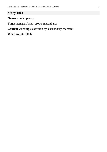# **Story Info**

**Genre:** contemporary

**Tags:** ménage, Asian, erotic, martial arts

**Content warnings**: extortion by a secondary character

**Word count:** 8,076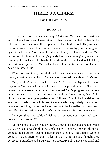# **THREE'S A CHARM By CR Guiliano**

#### PROLOGUE

<span id="page-7-0"></span>"I told you, I don't have any money!" Akira and Yuu heard Joji's strident and frightened voice and looked at each other for a second before they broke into a run, careening down the empty hall of their high school. They rounded the corner to see three of the football jocks surrounding Joji, one pinning him against the lockers. Akira heard the almost silent growl that issued from Yuu and knew if he didn't defuse things quickly those jocks were going to learn the meaning of pain. He and his two best friends might be small and look helpless, and certainly Joji was, but Yuu had a black belt in Karate, and was well able to deal with these bullies.

When Joji saw them, the relief on his pale face was instant. The jocks turned, sneering over at them. That was a mistake. Akira grabbed Yuu's arm.

"No, we don't want to make a scene." His harsh whisper didn't even register as Yuu yanked his arm from Akira's grip, and with cat-like grace, began to circle around the jocks. They tracked Yuu's progress, calling out taunts and slurs, most centered on Akira and his friends being fags. Akira closed his eyes, praying for patience, and followed Yuu. As his friend drew the attention of the big football players, Akira made his way quietly towards Joji, who was trembling against the lockers trying to look smaller than he already was. Despite both Akira's and Yuu's martial arts abilities, Joji was scared.

"Are you thugs incapable of picking on someone your own size? Well, how about you try me?"

Akira wanted to curse. Yuu's voice was low and controlled and it only got that way when he was livid. It was too late now. There was no way Akira was going to stop Yuu from teaching these morons a lesson. A lesson they weren't going to forget anytime soon. A lesson that Akira secretly thought they deserved. Both Akira and Yuu were very protective of Joji. He was small and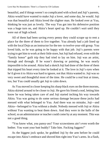beautiful, and if things weren't so complicated with school and Joji's parents, Akira would have wanted to make Joji a lover, and some day, he would. Joji was that beautiful and Akira loved the slighter man. He looked over at Yuu, thinking he was just as lovely. The way Yuu got into his defensive position was a huge turn on, and Akira's heart sped up. He couldn't *wait* until they were out of high school.

All of them had been saving every penny they could scrape up to rent a place for the three of them to live together. Yuu already had a job lined up with the local Dojo as an instructor for the ten- to twelve-year-old group. Yuu loved kids, so he was going to be happy with that job. Joji's parents were trying to get him to work at their little store, but Joji had refused, even with the "family honor" guilt trip they had tried to lay on him. Joji was an artist, through and through. If he wasn't drawing or painting, he was nearly impossible to be around. Akira had a sketch Joji had done of the three of them that tripped his heart every time he looked at it. The love in Joji's eyes when he'd given it to Akira was hard to ignore, not that Akira wanted to. Joji was so very sweet and thoughtful most of the time. He could be a real brat at times, too, but Yuu could usually get Joji to calm down.

As Yuu moved in closer keeping his sharp black eyes on the three morons, Akira skirted around to be closer to Joji. He gave his friend a nod, letting him know he was being taken care of and Joji started inching his way towards Akira. Yuu was going to do some serious damage because these jocks had messed with what belonged to Yuu. And there was no mistake, Joji—and Akira—belonged to Yuu without a doubt. Nobody messed with Joji or Akira without Yuu wanting to beat them down. And they were in the halls of the school, so an administrator or teacher could come by at any moment. This was not a good thing.

"You know what, you pansy-ass? Your scrawniness ain't even worth the bother. You want your butt buddy? Take him. Fucking faggots!"

As the biggest jock spoke, he grabbed Joji by the arm before he could escape into Akira's embrace and shoved him right into Yuu's arms. In a flash,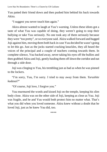Yuu patted their friend down and then pushed him behind his back towards Akira.

"I suggest you never touch him again."

Akira almost wanted to laugh at Yuu's warning. Unless these idiots got a taste of what Yuu was capable of doing, they weren't going to stop their bullying or take Yuu seriously. No one took any of them seriously because they were "too pretty", or so everyone said. Akira walked forward and hugged Joji against him, moving them both back in case Yuu decided he wasn't going to let this go. Just as the jocks started cracking knuckles, they all heard the voices of the principal and a couple of teachers coming towards them. In complete silence, Yuu backed away, never taking his eyes off the bullies and then grabbed Akira and Joji, gently hauling them off down the corridor and out through a side door.

Joji was clinging to Yuu, his trembling just as bad as when he was pinned to the lockers.

"I'm sorry, Yuu, I'm sorry. I tried to stay away from them. *Yurushite kudasai*?"

"Of course, Joji love, I forgive you."

Yuu murmured the words and kissed Joji on the temple, keeping his slim body close. Akira was on the other side of Joji, keeping as close as Yuu. Joji was fragile, and he and Yuu would both protect him no matter what. That's what you did when you loved someone. Akira knew without a doubt that he loved Joji, just as he knew Yuu did, too.

\*\*\*\*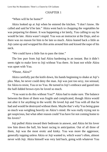#### CHAPTER 1

<span id="page-10-0"></span>"When will he be home?"

Akira looked up at Joji when he entered the kitchen. "I don't know. He called and said he'd be late." Akira went back to chopping the vegetables he was preparing for dinner. It was happening a lot lately, Yuu calling to say he would be late. Akira wasn't stupid. Yuu was an instructor at the Dojo, and so there was no reason for him to be late so much. Akira leaned back a little as Joji came up and wrapped his thin arms around him and kissed the nape of his neck.

"We could have a little fun to pass the time."

The low purr from Joji had Akira hardening in an instant. But it didn't seem right to make love to Joji without Yuu there. At least not while Akira was upset with Yuu.

"Please, Akira?"

Akira carefully put the knife down, his hands beginning to shake at Joji's plea. Man, he never could deny the man. Joji was just too sexy, too sensual, for Akira to resist, Yuu or no Yuu. He turned in Joji's embrace and gazed into the half-lidded brown eyes he loved so much.

"You want to do this without Yuu?" Akira had to make sure. The balance between the three of them was fragile and complicated, though Akira would not alter it for anything in the world. He loved Joji and Yuu with all that he had and would be destroyed without them. Maybe that's why Yuu being gone so much was weighing heavily on Akira's mind. He was really trying not to get suspicious, but what other reason could Yuu have for not coming home to his lovers?

Joji pulled Akira toward their bedroom in answer, and Akira let his lover tow him down the hall, his heart racing in anticipation. Out of all three of them, Joji was the most erotic and kinky. Yuu was more the aggressor, generally topping unless Akira or Joji wanted to, which wasn't often, almost never with Joji. Akira himself was very laid back, going with whatever Yuu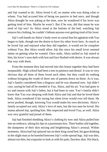and Joji wanted to do. Akira loved it all, no matter who was doing what to whom. Yuu had accused him of being too passive in bed once, and though Akira thought he was joking at the time, now he wondered if his lover was getting tired of him. Maybe he wasn't. But if he was, did that mean he was tired of Joji too? As Akira stood at the bottom of the bed, watching Joji remove his clothing, he couldn't fathom anyone ever getting tired of his lover.

Joji'ssoft hands on Akira's body were so carnal that his agitation with Yuu began to fade, though not the desire to have his other lover here. As much as he loved Joji and enjoyed what they did together, it would not be complete without Yuu. But Akira would allow Joji this since his small lover seemed intent on getting what he wanted. Once nude, Akira smiled as Joji stared at him, his lover's eyes dark with lust and face flushed with desire. It was always that way with them.

From the moment they had moved into this house together they had been inseparable. High school had been a test in patience and denial. It was so very obvious that all three of them loved each other, but they could do nothing without bringing the wrath of three sets of parents down on them. As it was, Joji's family considered him a disgrace and he was shunned now. Joji didn't care, saying he had all he needed in Yuu, Akira, and his art. Yuu had gone to try and reason with Joji's father, but it had been in vain. Yuu's family didn't know that Yuu was sleeping with both Akira and Joji and that he loved them both. Akira wondered if his strong but silent lover would ever tell them. He never pushed, though, knowing Yuu would make his own decisions. Akira's family accepted not only Akira's love of men, but the two men he loved. His mama adored Joji, spoiling him. She respected and loved Yuu, as well. Akira was very grateful and proud of them.

Joji had finished shedding Akira's clothing by now and Akira pulled him into an embrace, taking his lips in a passionate kiss. Their bodies slid together, the dampness of their skin mixing and heightening Akira's arousal. Within moments, Akira had Joji splayed out on their king-sized bed, his gaze drinking in the slight man as he kneeled between Joji's wide-spread legs. Joji was thin, almost too thin, but exquisite to look at with his pale, flawless skin. His black,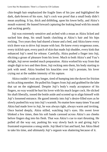chin-length hair emphasized the fragile lines of his jaw and highlighted the dark, dark-brown of his eyes. Joji's cock was proof that a small body didn't mean anything. It lay, thick and dribbling, upon his lower belly, and Akira's mouth watered. He leaned forward capturing the leaking head with his mouth and sucking gently.

Joji was extremely sensitive and arched with a moan as Akira licked and sucked him deep, his small hands clutching at Akira's hair and his hips rocking. Two years they had shared a house and a bed, and Akira knew every trick there was to drive Joji insane with lust. He knew every erogenous zone, every ticklish spot, every patch of skin that made Joji shudder, every kink that enhanced Joji's need for release. Carefully, Akira pushed a finger into Joji, eliciting a groan of pleasure from his lover. Much to both Akira's and Yuu's delight, Joji never needed much preparation. Akira worked his way from that single digit to two and then three, Joji rocking onto them, his body starting to jerk with need. Akira brushed his knuckles over Joji's prostate, his lover crying out at the sudden intensity of his rapture.

Akira couldn't wait any longer, tired of humping into the duvet for friction on his aching member. He pulled his fingers from Joji and grabbed for the lube that sat on the nightstand. Despite Joji's body's ready acceptance of his fingers, no way would he hurt his lover with his much larger cock. He slicked his shaft liberally, tossed the bottle aside and scooted up to align himself with Joji's loosened entrance. He gazed intently into Joji's desire-filled eyes as he slowly pushed his way into Joji's warmth. No matter how many times Yuu and Akira had made love to Joji, he was always tight, always warm and inviting. Once buried deeply, Akira stilled, watching Joji's eyes. His sweet lover blinked a few times, then his soft hands caressed across Akira's ass cheeks before fingers dug into his flesh. That was Akira's cue to start thrusting. He pulled all the way out, pushing his way slowly back in and giving Joji's frustrated expression a smug smile. Joji liked it fast and hard, but Akira liked to take his time, and ultimately Joji's orgasm was shattering because of it.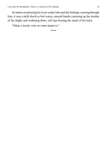So intent on pleasing his lover under him and the feelings coursing through him, it was a mild shock to feel warm, smooth hands caressing up the insides of his thighs and widening them, soft lips kissing the small of his back.

"What a lovely view to come home to."

\*\*\*\*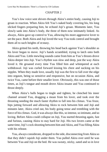#### CHAPTER 2

<span id="page-14-0"></span>Yuu's low voice sent shivers through Akira's entire body, causing Joji to groan in reaction. When Akira felt Yuu's naked body covering his, his long slicked fingers preparing him, he echoed Joji's groan. Moments later, Yuu slowly sank into Akira's body, the three of them now intimately linked. As always, Akira gave up control to Yuu, allowing his more aggressive lover to set the pace. Both Akira and Joji loved the way Yuu took control and brought them all to such heights of ecstasy.

Akira gritted his teeth, throwing his head back against Yuu's shoulder as his lover began to move. Joji's hands scrambled, trying to latch onto both Akira and Yuu. Little mewling sounds came from him as Yuu's thrusts drove Akira deeper into Joji. Yuu's rhythm was slow and deep, just the way Akira loved it. He groaned every time Yuu filled him and whimpered at each withdrawal. Joji was curled forward kissing his chest and sucking on his nipples. When they made love, usually Joji was the first to fall over the edge into orgasm, being so sensitive and responsive, but on occasion Akira, and twice Yuu, came before their smaller lover. Obviously, this was one of those times, as Joji's tongue and mouth drove Akira insane and Yuu continued to thrust deeply.

When Akira's balls began to tingle and tighten, he clenched his inner channel around Yuu, dragging a moan from his lover, and took over the thrusting needing the much faster rhythm to fall into his climax. Yuu froze, hips jutting forward and allowing Akira to rock between him and Joji and minutes later, Akira cried out, his body going tense and trembling with the force of his climax. God, it was always like this, so intense, so intimate, and so loving. Before Akira could collapse on Joji, Yuu started thrusting again, fast and furious, causing Akira to stay hard for Joji. His two lovers came at the same time, Joji's cock shooting between him and Akira, and Yuu filling Akira with his release.

Yuu, always considerate, dropped to the side, disconnecting from Akira so that they didn't squish Joji under them. Yuu pulled Akira over until he was between Yuu and Joji on the bed. He was sweaty, sticky, sated and so in love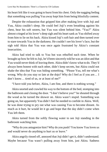his heart felt like it was going to burst from his chest. Only the nagging feeling that something was pulling Yuu away kept him from being blissfully content.

Despite the exhaustion that gripped him after making love with Joji and Yuu, Akira couldn't sleep. He could feel Joji's even breathing against his chest, hear his soft snores, but Yuu was silent behind him. "Yuu?" Akira almost cringed at his lover's deep sigh and his heart sank as Yuu shifted away from him to lie on his back. Akira kissed Joji's soft hair and then turned over to stare towards Yuu in the darkness. He couldn't see his lover's face, but the sigh told Akira that Yuu was once again frustrated by Akira's constant insecurities.

Akira had tried to talk to Yuu but was rebuffed each time. When he brought up how he felt to Joji, he'd been sincerely told he was an idiot and that Yuu would never think of leaving them. Akira didn't know what to do. They'd always been honest with each other, didn't keep secrets, but Akira could not shake the idea that Yuu was hiding something. "Please Yuu, tell me what's wrong. Why do you stay so late at the dojo? Why do I feel as if you are… I don't know… tired of us, or at least of me?"

"I have told you before, Akira, I am fine, and there is nothing wrong."

Akira snorted and crawled his way to the bottom of the bed, stomping into the bathroom and closing the door. "I don't believe you!" he shouted through the wood as he turned the shower on. Akira wasn't stupid. Something was going on, but apparently Yuu didn't feel he needed to confide in Akira. Well, he was done trying to pry out what was causing Yuu to become distant. As much as it hurt, he would let it go and hope that the day didn't come when Yuu left them.

Akira turned from the softly flowing water to see Joji standing in the bathroom watching him.

"Why do you antagonize him? Why do you push? You know Yuu loves us and would never do anything to hurt us or leave."

Akira angrily rinsed off, annoyed that Joji didn't get it, didn't understand. Maybe because Yuu wasn't pulling away from him, just Akira. Sadness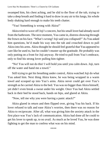swamped him, his chest aching, and he slid to the floor of the tub, trying to take a deep breath and finding it hard to draw in any air to his lungs, his whole body shaking hard enough to make his teeth chatter.

"Yuu! Something is wrong with Akira!"

Akira tried to wave off Joji's concern, but his small lover had already raced from the bathroom. The next moment, Yuu came in, distress showing through the frown on his face. "What's wrong? Joji said you collapsed!" As Yuu asked him questions, he'd made his way into the tub and crouched down to pull Akira into his arms. Akira thought he should feel grateful that Yuu appeared to care like he used to, but he couldn't muster up the gratitude. He probably was only putting on a front for Joji anyway. He tried to pull from Yuu's embrace, only to find his strong lover pulling him tighter.

"No! You will not do this! I will hold you until you calm down. Joji, turn off the water and hand me a towel."

Still trying to get his breathing under control, Akira watched Joji do what Yuu asked him. Next thing Akira knew, he was being wrapped in a warm towel and scooped up into Yuu's arms. Akira never could get over Yuu's strength as he carried Akira to the bed. Yuu was no bigger than Akira himself, yet didn't even break a sweat under his weight. Once Yuu had Akira settled back in their bed he stood back, hands on hips, and glared at Akira.

"Now, tell me why you were having a panic attack?"

Akira glared in return and then flipped over, giving Yuu his back. If his lover refused to talk and ease Akira's worries, then there was no reason for Akira to reciprocate. After all, what was giving him the anxiety attack in the first place was Yuu's lack of communication. Akira had done all he could to get his lover to speak up, to no avail. As much as he loved Yuu, he was done fighting to get the man to confess what was on his mind.

\*\*\*\*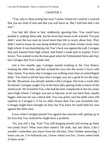#### CHAPTER 3

<span id="page-17-0"></span>"Yuu, why is Akira acting that way? I mean, I know he's said he's worried that you are tired of him and that you will leave us. But I told him that's not true."

Yuu had left Akira in bed, stubbornly ignoring him. Yuu could have pushed it, making Akira talk, but his lover had reason to be worried. Yuu just didn't want the two men he loved more than life to worry about him. They didn't need to know he was being bullied by one of their former rivals from high school. It was humiliating, but Yuu's back was against the wall. Corrigan, that jock bastard from high school, had found a weak spot to exploit: Yuu's lovers. Yuu wanted to tear the man apart when he'd threatened Akira and Joji, but Corrigan had Yuu's hands tied.

Just a few months ago, Corrigan started working at the True Palace, training the older kids, and had worked his way into the owner's favor with false charm. Yuu knew that Corrigan was nothing more than an unintelligent bully. Yuu tried to tell his boss that Corrigan was not a good fit for the dojo, but Mr. Miyamoto was already smitten with Corrigan. Not even a week after he started, Corrigan caught Yuu in the back alley getting ready to leave on his motorcycle. He'd startled Yuu, who had become complacent in the two years since high school. Corrigan was just as big now as he was back then, maybe bigger, and now he was a black belt. Yuu was pretty sure his skills were still superior to Corrigan's, if for no other reason than Yuu was extremely fast. Corrigan might have strength on him, but Yuu knew he could hold his own against the other man.

It was when Corrigan pinned Yuu against the concrete wall, getting up in his face that Yuu realized he might have a problem.

"So, you still a fag, Tran? You still hanging around and sexing up those two pretty boys? What were their names? Oh yeah, Joji and Akira. Like I wouldn't remember you losers from the old days. Don't bother answering, I know you are. I've followed you. I know where you live. I know where both of them work."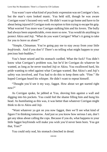Yuu wasn't sure what kind of psychotic expression was on Corrigan's face, but the man's eyes looked manic. Yuu held still, though he was aware Corrigan wasn't focused very well. He didn't want to go home and have to lie about being injured if Corrigan took exception to him trying to escape his grip. What worried Yuu more was Corrigan stalking him and his lovers. The bully had always been unpredictable, even more so now. Yuu would do anything to protect Akira and Joji. "What do you want Corrigan? What's it going to take for you to leave us alone?"

"Simple, Chinaman. You're going pay me to stay away from your little *boyfriends*. And if you don't? There's no telling what might happen to your precious butt-buddies."

Yuu's heart seized and his stomach curdled. What the fuck? Yuu didn't know what Corrigan's problem was, but he'd let Corrigan do whatever he wanted, as long as he never touched Joji or Akira. Yuu swallowed hard, his pride wanting to rebel against what Corrigan wanted. But Akira's and Joji's safety was involved, and Yuu had to do this to keep them safe. "Fine." He hoped Corrigan heard his whisper. He didn't want to repeat himself.

"Thought you'd see it my way, faggot. How about we get started right now?"

As Corrigan spoke, he jabbed at Yuu, shoving him against a wall and digging into his pockets. Yuu could feel the shame filling him and hung his head. As humiliating as this was, it was better than whatever Corrigan might think to do to Akira and Joji.

"Want whatever ya got on you now faggot, then we'll see what kind of figure I'm thinking tomorrow. And just so you know how serious I am, don't get any ideas about calling the cops. Because if you do, what happens to your little faggot boyfriends will make you wish you'd never been born. You got that, Tran?"

\*\*\*\*

Yuu could only nod, his stomach clenched in dread.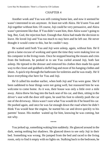#### CHAPTER 4

<span id="page-19-0"></span>Another week and Yuu was still coming home late, and now it seemed he wasn't interested in sex anymore. At least not with Akira. He'd seen Yuu and Joji together without him. Of course, Joji could be very persuasive, and Akira wasn't persistent like that. If Yuu didn't want him, then Akira wasn't going to beg. But, God, the rejection hurt. Enough that Akira had made the decision to leave. He loved Joji and Yuu too much to stay here and be left out. He never thought it would come to this, but he couldn't stay.

He waited until both Yuu and Joji were asleep, again, without him. He'd given a lame excuse of working and spent the time they were making love on his computer in the living room. Once he stopped hearing the moans and cries from the bedroom, he peeked in to see Yuu curled around Joji, both fast asleep. He tiptoed to the dresser and removed his clothes then made his quiet way to the closet and grabbed a duffel bag and most of his hanging clothes and shoes. A quick trip through the bathroom for toiletries and he was ready. He'd leave everything else here for Yuu and Joji.

He'd called his mother earlier, when both Joji and Yuu were gone. She'd been saddened to hear things were not going well, but reassured him he was welcome to come home. As it was, their house was only a little over a mile away. Akira threw his bag into the back seat of his car, and then, sitting in the driver's seat with the door still open, he used his foot to silently push the car out of the driveway. Akira wasn't sure what Yuu would do if he heard his car. He pushed again, and once he was far enough down the road where he didn't think Yuu would hear the engine, he started his car and drove quickly to his parents' house. His mother waited up for him, knowing he was coming, but not why.

\*\*\*\*

Yuu jerked up, something waking him suddenly. He glanced around in the dark, seeing nothing but shadows. He glanced down to see only Joji in their bed. Something was wrong. He jumped from the bed and raced to the living room, only to find it empty with no lights on. Stalking back to the bedroom, he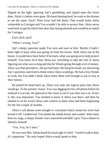flipped on the light, ignoring Joji's grumbling, and ripped open the closet door. Akira's clothes were gone. His heart beating hard, he went to the dresser to see the same. *Fuck!* Their lover had left them! That would make Akira vulnerable to Corrigan and Yuu wouldn't be able to protect him. Akira never went back to get his black belt after they had graduated and would be no match for Corrigan.

*Fuck, fuck, fuck!*

"What's wrong, Yuu?"

Joji's sleepy question made Yuu turn and stare at him. Maybe it hadn't been right to keep what was going on from his lovers. With Akira out of the house, it would have been better if he knew what was going on to help protect himself. Yuu knew he'd shut Akira out, unwilling to take the risk of Akira figuring out what was wrong and that he'd been going through a lot of money. Akira was that perceptive, always had been. He hung his head, not answering Joji's question, and tried to think where Akira would go. He had a few friends at work, but Yuu didn't think Akira knew them well enough to ask to stay at their homes.

He jerked his head back up. There was only one logical place that Akira would go. To his parents' house. Yuu was digging for his cell phone before he realized it was late. He glanced at the clock to see it was after one a.m. Screw it, this was important. Yuu needed to know if Akira was there, and then he needed to sit his lovers down and confess to them what had been happening for the last couple of months.

Akira's cell phone went straight to voicemail which meant his lover had turned it off. Undeterred, Yuu dialed the Ishida house and waited. After more than six rings, a sleepy female voice answered and didn't give Yuu a chance to identify himself.

"Yes, Yuu, he's here."

He was sure Mrs. Ishida heard his loud sigh of relief. "I need to talk to him. It's important." He only hoped Akira would speak to him.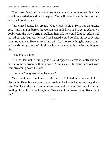"I'm sorry, Yuu. Akira was pretty upset when he got here, so his father gave him a sedative and he's sleeping. You will have to call in the morning and speak to him then."

Yuu cursed under his breath. "Okay, Mrs. Ishida. Sorry for disturbing you." Yuu hung up before the woman responded. He had to get to Akira. No doubt, with the way Corrigan stalked them all, he would find out Akira had moved out and Yuu was terrified the bastard would go after his lover despite their arrangement. He was trembling with fear, not something he was used to, and nearly jumped out of his skin when arms circled his waist and hugged him.

"You okay, Babe?"

"No, no, I'm not. Akira's gone." Joji dropped his arms instantly and ran back into the bedroom without a word. Minutes later, he came back out with tears streaming down his face.

"But why? Why would he leave us?"

Yuu swallowed the lump in his throat. It killed him to see Joji so distraught. He only ever wanted to make both his lovers happy and keep them safe. He closed the distance between them and gathered Joji into his arms, holding him tight and rocking him. "Because of me, sweet baby. Because of me."

\*\*\*\*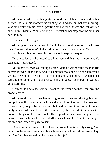#### CHAPTER 5

<span id="page-22-0"></span>Akira watched his mother putter around the kitchen, concerned at her silence. Usually, his mother was bursting with advice but not this morning. Was his break with his lovers upsetting her as well? Or was she just worried about him? "Mama? What's wrong?" He watched her stop near the sink, her back to him.

"Yuu called last night."

Akira sighed. Of course he did. But Akira had nothing to say to his former lover. "What did he say?" Akira didn't really want to know what Yuu had to say for himself, but he knew his mother would expect the question.

"Nothing. Just that he needed to talk to you and that it was important. He did sound… distressed."

Akira snorted. "Are you taking his side, Mama?" Akira could see that. His parents loved Yuu and Joji. And if his mother thought he'd done something wrong, she wouldn't hesitate to defend them and rant at him. He watched her turn and look at him, her black eyes catching his gaze. Her expression was sad yet determined.

"I am not taking sides, Akira. I want to understand so that I can give the proper advice."

Akira usually had no problem talking to his mother and sharing, but he'd not spoken of the stress between him and Yuu. "I don't know…" He was loath to bring it up, not just because it hurt, but he didn't want his mother thinking badly of Yuu. Akira still loved the man fiercely; he just didn't know what to do to fix things, or if he even could. He dropped his head, worrying his lip as he warred within himself. He was startled when his mother's soft hand cupped his chin and raised his gaze to hers.

"Akira, my son, I am not blind. I see that something is terribly wrong. You would not be here and separated from those men you love if things were okay. Is it Yuu? Or has something happened with Joji?"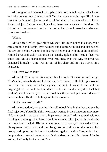Akira sighed and then took a deep breath before launching into what he felt and why he was here. It wasn't as if Yuu had done anything specific. It was just the feelings of rejection and suspicion that had driven Akira to leave. Akira had just finished speaking when there was a knock at the door. He fiddled with the now-cold tea that his mother had given him earlier as she went to answer the door.

"Akira"

Akira's head jerked up at Yuu's whisper. His lover looked like crap, hair a mess, stubble on his chin, eyes haunted and clothes wrinkled and disheveled. He saw Joji behind Yuu not looking much better, but with the addition of redrimmed eyes and sickly pallor on his usually golden skin. Yuu's face was ashen, and Akira's heart skipped. Was Yuu sick? Was that why his lover had distanced himself? Akira was up out of his chair and in Yuu's arms in a heartbeat.

"I'll leave you to talk."

Akira felt Yuu nod at his mother, but he couldn't make himself let go. Yuu's solid, warm body was heaven, and he'd missed it. He felt Joji surround him from the back, Joji's face against the back of his neck and wetness dripping down his back. God, he'd hurt his lovers. Finally, he pulled back but couldn't meet Yuu's eyes. He cleared his throat and put some distance between them. He'd fled to his parents for a reason.

"Akira. We need to talk."

Akira just nodded, not trusting himself to look Yuu in the face and see the final rejection, Yuu telling him he was not wanted in their threesome anymore. "We can go in the back study. Papa won't mind." Akira turned without looking up but a sigh shuddered from him when he felt Joji take his hand as he led them down the hall. His father was gone, off to work, so they had privacy. He squeezed Joji's hand and then let go so he could sit on the couch. Joji promptly dropped beside him and curled up against his side. He couldn't help but put his arm around the small man's shoulders, pulling him closer. After he settled, he finally looked up at Yuu.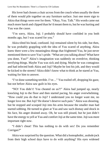His lover had chosen a chair across from the couch when usually the three of them would pile together on any furniture surface. Just one more sign to Akira that things were over for them. "Okay, Yuu. Talk." His words came out much more harsh and clipped than he'd meant them to, but he was hurting and Yuu was the cause.

"I'm sorry, Akira, Joji. I probably should have confided in you both months ago, but I was scared for you."

Akira tilted his head, confused. Joji remained silent by his side, but then, he was probably grappling with the idea of Yuu scared of anything. Akira knew there were a few meaningless things that frightened Yuu, he just never mentioned them to save Yuu's pride. "What are you talking about? What have you done, Yuu?" Akira's imagination was suddenly on overdrive, thinking terrifying things. Maybe Yuu was sick and dying. Maybe he was contagious and had infected both Akira and Joji? Maybe he lost his job, and they would be kicked to the streets? Akira didn't know what to think as he stared at Yuu, waiting for him to answer.

"I've done something terrible. I've…" Yuu trailed off, dropping his gaze, but not before Akira saw guilt in his eyes.

"NO! You didn't! You cheated on us?!" Akira had jumped up, nearly knocking Joji to the floor and then started pacing, his anger overwhelming. "How could you do that to Joji? I understand you no longer want me, no longer love me. But Joji? He doesn't deserve such pain." Akira was shouting, but he stopped and scooped Joji into his arms because the smaller man had started sobbing. He turned to glare at Yuu and saw such dismay and shock in his face, his anger drained away. Oh, he was still pissed, but he just didn't have the energy to yell at Yuu and comfort Joji at the same time. Joji was more important right now.

"I didn't cheat! This has nothing to do with sex! Do you remember Corrigan?"

Akira was surprised by the question. What did a homophobic, asshole jock from their high school days have to do with anything? His eyes widened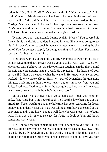suddenly. "Oh, God. Yuu!! You've been with him? You've been…" Akira couldn't even finish his sentence. The idea of his lover in the arms of that… that… well… Akira didn't think he had a strong enough word to describe what Corrigan Matthews was. Akira was further surprised to see tears trailing down Yuu's face. Yuu didn't cry… ever. But then, Yuu had cheated on Akira and Joji. That it hurt the man was somewhat satisfying to Akira.

"No, no, you don't understand. Let me explain. *Please*." Yuu covered his face with his hands, his shoulders hunched forward like he was going to get hit. Akira wasn't going to touch him, even though he felt like beating the shit out of Yuu for being so stupid, for being uncaring and reckless. For causing such pain for both Akira and Joji.

"He started working at the dojo, got Mr. Miyamoto to trust him. I tried to tell Mr. Miyamoto that Corrigan was no good, that he was… was—Well, Mr. Miyamoto didn't believe me. One day Corrigan caught me in the alley behind the dojo and cornered me against a wall. He threatened… he threatened both of you if I didn't do exactly what he wanted. He knew where you both worked… knew where we lived. He… he… started demanding things, saying things… made me pay him money... every day to stay away from you and Joji… I had to… I had to pay him or he was going to hurt you and he was… was… well, he said exactly how he'd hurt you, too."

Akira's chest was aching; Yuu's voice had gotten thick with emotion and… fear. Jesus, but Akira never thought he'd see the day when Yuu was that afraid. He'd been watching Yuu the whole time he spoke, searching for deceit, but it was abundantly clear that Yuu was telling the truth. No one could be that convincing, and Akira knew Yuu too well, knew he was a lousy liar to begin with. That was why it was so easy for Akira to look at Yuu and know something was wrong.

"He… he told me that something bad would happen to you and Joji if I didn't… didn't pay what he wanted, said he'd get his cousin to… to…" Yuu paused, obviously struggling with his words. "I couldn't let that happen. I couldn't let him touch either of you. I had to protect you both. I love you both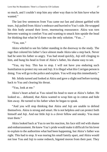so much, and I couldn't stop him any other way than to let him have what he wanted"

The last few sentences from Yuu came out fast and almost garbled with tears. Joji pulled from Akira's embrace and hurried to Yuu's side. He wrapped his thin body around their lover, murmuring reassurance. Akira was torn between wanting to comfort Yuu and wanting to smack him upside the head for thinking that what he'd done was the only solution. "Yuu…"

"Yuu, son."

Akira whirled to see his father standing in the doorway to the study. The rage that colored his father's face almost made Akira take a step back. Never had he seen his father so angry. Yuu had stood quickly, Joji still clinging to him, and hung his head in front of Akira's father, his shame easy to see.

"Yuu, my boy. This has to stop. I will not have you enduring such humiliation to protect my son and Joji. It is illegal what this Corrigan person is doing. You will go to the police and explain. You will stop this immediately."

Mr. Ishida turned and looked at Akira and gave a slight nod before turning back to Yuu and clearing his throat.

"Yuu, look at me."

Akira's heart ached as Yuu raised his head to stare at Akira's father. He looked so… defeated, that Akira wanted to wrap him up in cotton and hide him away. He turned to his father when he began to speak.

"And you will stop thinking that Akira and Joji are unable to defend themselves. Akira is strong and smart. He is not helpless and can protect both himself and Joji. And our little Joji is a clever fellow and sneaky. You must trust them"

Akira looked back at Yuu to see his reaction, his face still red with shame and embarrassment. He knew Yuu's pride would make it difficult for his lover to explain to the authorities what had been happening, but Akira's father was right. This had to stop. It was tearing his small family apart, and Akira would not lose Yuu and Joji to some redneck, bigoted moron from their past. They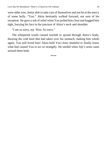were older now, better able to take care of themselves and not be at the mercy of some bully. "Yuu." Akira hesitantly walked forward, not sure of his reception. He gave a sob of relief when Yuu pulled him close and hugged him tight, burying his face in the juncture of Akira's neck and shoulder.

"I am so sorry, my 'Kira. So sorry."

The whispered words caused warmth to spread through Akira's body, thawing the cold knot that had taken over his stomach, making him whole again. Yuu still loved him! Akira held Yuu close, thankful to finally know what had caused Yuu to act so strangely. He smiled when Joji's arms came around them both.

\*\*\*\*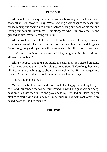### EPILOGUE

<span id="page-28-0"></span>Akira looked up in surprise when Yuu came barreling into the house much sooner than usual on a work day. "What's wrong?" Akira squeaked when Yuu picked him up and swung him around, before putting him back on his feet and kissing him soundly. Breathless, Akira staggered when Yuu broke the kiss and grinned at him. "What's going on, Yuu?"

Akira saw Joji come into the kitchen from the corner of his eye, a puzzled look on his beautiful face, but a smile, too. Yuu saw their lover and dragging Akira along, snagged Joji around the waist and crushed them both to his chest.

"He's been convicted and sentenced! They've given him the maximum allowed by the law!"

Akira whooped, hugging Yuu tightly in celebration. Joji started prancing and dancing around the room, his giggles contagious. Before long they were all piled on the couch, giggles ebbing into chuckles that finally merged into silence. All three of them stared intently into each others' eyes.

"I love you both so much."

Yuu was the first to speak, and Akira could feel happy tears filling his eyes as he and Joji echoed the words. Yuu leaned forward and gave Akira a deep, passion-filled kiss then turned and gave one to Joji, too. It didn't take long for clothes to start flying and three men, very much in love with each other, flew naked down the hall to their bed.

## **THE END**